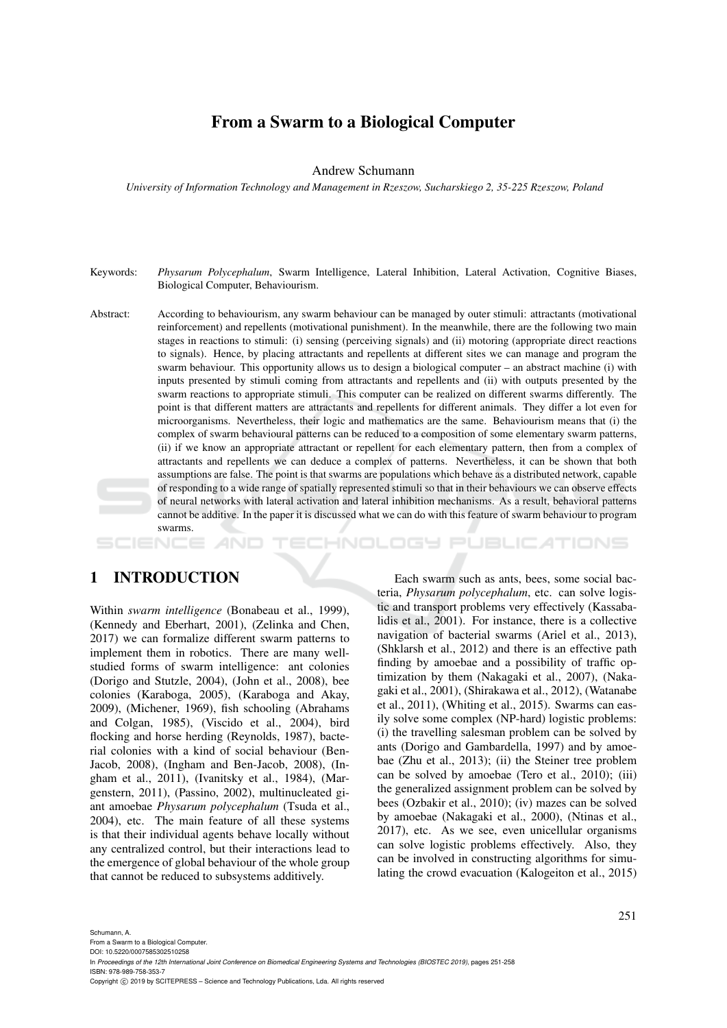# From a Swarm to a Biological Computer

Andrew Schumann

*University of Information Technology and Management in Rzeszow, Sucharskiego 2, 35-225 Rzeszow, Poland*

- Keywords: *Physarum Polycephalum*, Swarm Intelligence, Lateral Inhibition, Lateral Activation, Cognitive Biases, Biological Computer, Behaviourism.
- Abstract: According to behaviourism, any swarm behaviour can be managed by outer stimuli: attractants (motivational reinforcement) and repellents (motivational punishment). In the meanwhile, there are the following two main stages in reactions to stimuli: (i) sensing (perceiving signals) and (ii) motoring (appropriate direct reactions to signals). Hence, by placing attractants and repellents at different sites we can manage and program the swarm behaviour. This opportunity allows us to design a biological computer – an abstract machine (i) with inputs presented by stimuli coming from attractants and repellents and (ii) with outputs presented by the swarm reactions to appropriate stimuli. This computer can be realized on different swarms differently. The point is that different matters are attractants and repellents for different animals. They differ a lot even for microorganisms. Nevertheless, their logic and mathematics are the same. Behaviourism means that (i) the complex of swarm behavioural patterns can be reduced to a composition of some elementary swarm patterns, (ii) if we know an appropriate attractant or repellent for each elementary pattern, then from a complex of attractants and repellents we can deduce a complex of patterns. Nevertheless, it can be shown that both assumptions are false. The point is that swarms are populations which behave as a distributed network, capable of responding to a wide range of spatially represented stimuli so that in their behaviours we can observe effects of neural networks with lateral activation and lateral inhibition mechanisms. As a result, behavioral patterns cannot be additive. In the paper it is discussed what we can do with this feature of swarm behaviour to program swarms.

### 1 INTRODUCTION

SCIENCE

Within *swarm intelligence* (Bonabeau et al., 1999), (Kennedy and Eberhart, 2001), (Zelinka and Chen, 2017) we can formalize different swarm patterns to implement them in robotics. There are many wellstudied forms of swarm intelligence: ant colonies (Dorigo and Stutzle, 2004), (John et al., 2008), bee colonies (Karaboga, 2005), (Karaboga and Akay, 2009), (Michener, 1969), fish schooling (Abrahams and Colgan, 1985), (Viscido et al., 2004), bird flocking and horse herding (Reynolds, 1987), bacterial colonies with a kind of social behaviour (Ben-Jacob, 2008), (Ingham and Ben-Jacob, 2008), (Ingham et al., 2011), (Ivanitsky et al., 1984), (Margenstern, 2011), (Passino, 2002), multinucleated giant amoebae *Physarum polycephalum* (Tsuda et al., 2004), etc. The main feature of all these systems is that their individual agents behave locally without any centralized control, but their interactions lead to the emergence of global behaviour of the whole group that cannot be reduced to subsystems additively.

Each swarm such as ants, bees, some social bacteria, *Physarum polycephalum*, etc. can solve logistic and transport problems very effectively (Kassabalidis et al., 2001). For instance, there is a collective navigation of bacterial swarms (Ariel et al., 2013), (Shklarsh et al., 2012) and there is an effective path finding by amoebae and a possibility of traffic optimization by them (Nakagaki et al., 2007), (Nakagaki et al., 2001), (Shirakawa et al., 2012), (Watanabe et al., 2011), (Whiting et al., 2015). Swarms can easily solve some complex (NP-hard) logistic problems: (i) the travelling salesman problem can be solved by ants (Dorigo and Gambardella, 1997) and by amoebae (Zhu et al., 2013); (ii) the Steiner tree problem can be solved by amoebae (Tero et al., 2010); (iii) the generalized assignment problem can be solved by bees (Ozbakir et al., 2010); (iv) mazes can be solved by amoebae (Nakagaki et al., 2000), (Ntinas et al., 2017), etc. As we see, even unicellular organisms can solve logistic problems effectively. Also, they can be involved in constructing algorithms for simulating the crowd evacuation (Kalogeiton et al., 2015)

HNOLOGY PUBLIC*A*TIONS

From a Swarm to a Biological Computer DOI: 10.5220/0007585302510258

In *Proceedings of the 12th International Joint Conference on Biomedical Engineering Systems and Technologies (BIOSTEC 2019)*, pages 251-258 ISBN: 978-989-758-353-7

Copyright (C) 2019 by SCITEPRESS - Science and Technology Publications, Lda. All rights reserved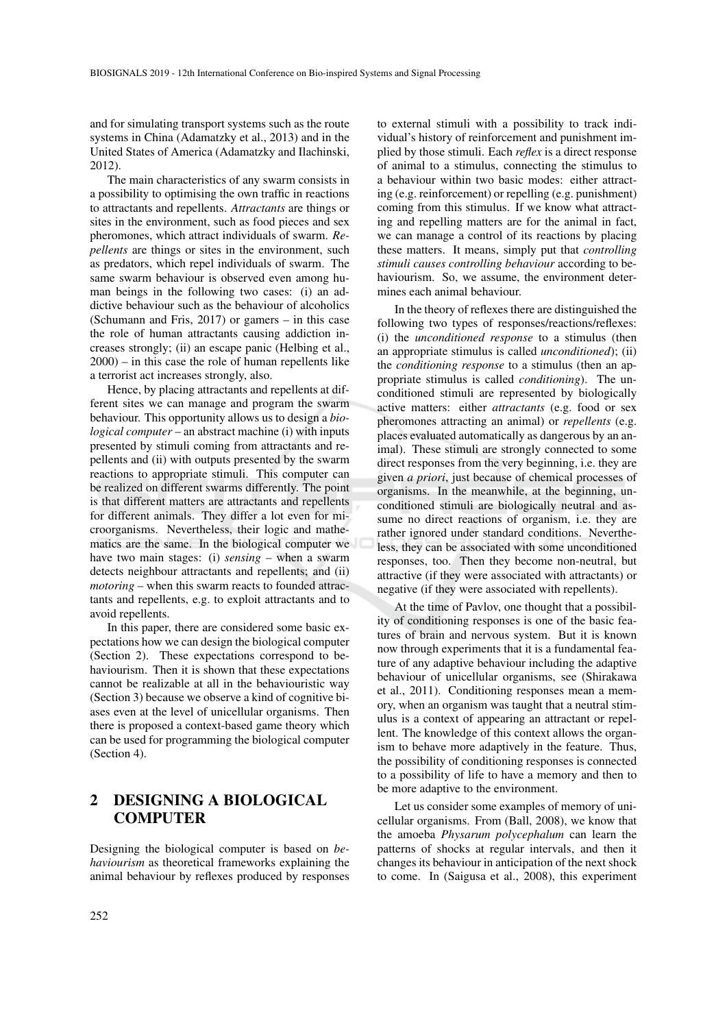and for simulating transport systems such as the route systems in China (Adamatzky et al., 2013) and in the United States of America (Adamatzky and Ilachinski, 2012).

The main characteristics of any swarm consists in a possibility to optimising the own traffic in reactions to attractants and repellents. *Attractants* are things or sites in the environment, such as food pieces and sex pheromones, which attract individuals of swarm. *Repellents* are things or sites in the environment, such as predators, which repel individuals of swarm. The same swarm behaviour is observed even among human beings in the following two cases: (i) an addictive behaviour such as the behaviour of alcoholics (Schumann and Fris, 2017) or gamers – in this case the role of human attractants causing addiction increases strongly; (ii) an escape panic (Helbing et al., 2000) – in this case the role of human repellents like a terrorist act increases strongly, also.

Hence, by placing attractants and repellents at different sites we can manage and program the swarm behaviour. This opportunity allows us to design a *biological computer* – an abstract machine (i) with inputs presented by stimuli coming from attractants and repellents and (ii) with outputs presented by the swarm reactions to appropriate stimuli. This computer can be realized on different swarms differently. The point is that different matters are attractants and repellents for different animals. They differ a lot even for microorganisms. Nevertheless, their logic and mathematics are the same. In the biological computer we have two main stages: (i) *sensing* – when a swarm detects neighbour attractants and repellents; and (ii) *motoring* – when this swarm reacts to founded attractants and repellents, e.g. to exploit attractants and to avoid repellents.

In this paper, there are considered some basic expectations how we can design the biological computer (Section 2). These expectations correspond to behaviourism. Then it is shown that these expectations cannot be realizable at all in the behaviouristic way (Section 3) because we observe a kind of cognitive biases even at the level of unicellular organisms. Then there is proposed a context-based game theory which can be used for programming the biological computer (Section 4).

# 2 DESIGNING A BIOLOGICAL **COMPUTER**

Designing the biological computer is based on *behaviourism* as theoretical frameworks explaining the animal behaviour by reflexes produced by responses

to external stimuli with a possibility to track individual's history of reinforcement and punishment implied by those stimuli. Each *reflex* is a direct response of animal to a stimulus, connecting the stimulus to a behaviour within two basic modes: either attracting (e.g. reinforcement) or repelling (e.g. punishment) coming from this stimulus. If we know what attracting and repelling matters are for the animal in fact, we can manage a control of its reactions by placing these matters. It means, simply put that *controlling stimuli causes controlling behaviour* according to behaviourism. So, we assume, the environment determines each animal behaviour.

In the theory of reflexes there are distinguished the following two types of responses/reactions/reflexes: (i) the *unconditioned response* to a stimulus (then an appropriate stimulus is called *unconditioned*); (ii) the *conditioning response* to a stimulus (then an appropriate stimulus is called *conditioning*). The unconditioned stimuli are represented by biologically active matters: either *attractants* (e.g. food or sex pheromones attracting an animal) or *repellents* (e.g. places evaluated automatically as dangerous by an animal). These stimuli are strongly connected to some direct responses from the very beginning, i.e. they are given *a priori*, just because of chemical processes of organisms. In the meanwhile, at the beginning, unconditioned stimuli are biologically neutral and assume no direct reactions of organism, i.e. they are rather ignored under standard conditions. Nevertheless, they can be associated with some unconditioned responses, too. Then they become non-neutral, but attractive (if they were associated with attractants) or negative (if they were associated with repellents).

At the time of Pavlov, one thought that a possibility of conditioning responses is one of the basic features of brain and nervous system. But it is known now through experiments that it is a fundamental feature of any adaptive behaviour including the adaptive behaviour of unicellular organisms, see (Shirakawa et al., 2011). Conditioning responses mean a memory, when an organism was taught that a neutral stimulus is a context of appearing an attractant or repellent. The knowledge of this context allows the organism to behave more adaptively in the feature. Thus, the possibility of conditioning responses is connected to a possibility of life to have a memory and then to be more adaptive to the environment.

Let us consider some examples of memory of unicellular organisms. From (Ball, 2008), we know that the amoeba *Physarum polycephalum* can learn the patterns of shocks at regular intervals, and then it changes its behaviour in anticipation of the next shock to come. In (Saigusa et al., 2008), this experiment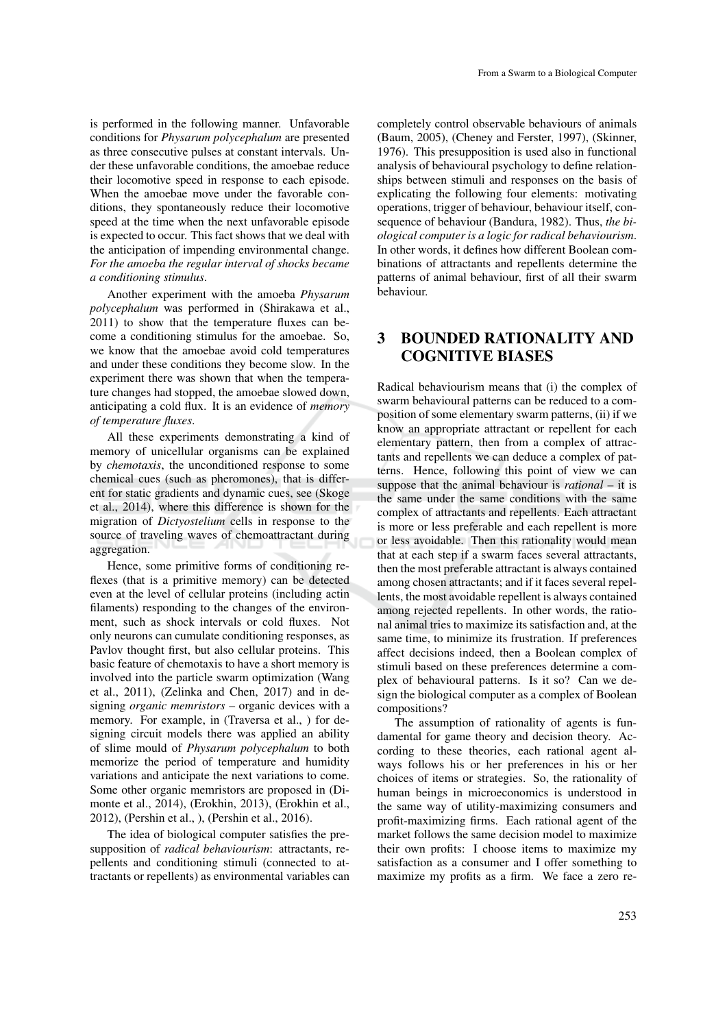is performed in the following manner. Unfavorable conditions for *Physarum polycephalum* are presented as three consecutive pulses at constant intervals. Under these unfavorable conditions, the amoebae reduce their locomotive speed in response to each episode. When the amoebae move under the favorable conditions, they spontaneously reduce their locomotive speed at the time when the next unfavorable episode is expected to occur. This fact shows that we deal with the anticipation of impending environmental change. *For the amoeba the regular interval of shocks became a conditioning stimulus*.

Another experiment with the amoeba *Physarum polycephalum* was performed in (Shirakawa et al., 2011) to show that the temperature fluxes can become a conditioning stimulus for the amoebae. So, we know that the amoebae avoid cold temperatures and under these conditions they become slow. In the experiment there was shown that when the temperature changes had stopped, the amoebae slowed down, anticipating a cold flux. It is an evidence of *memory of temperature fluxes*.

All these experiments demonstrating a kind of memory of unicellular organisms can be explained by *chemotaxis*, the unconditioned response to some chemical cues (such as pheromones), that is different for static gradients and dynamic cues, see (Skoge et al., 2014), where this difference is shown for the migration of *Dictyostelium* cells in response to the source of traveling waves of chemoattractant during aggregation.

Hence, some primitive forms of conditioning reflexes (that is a primitive memory) can be detected even at the level of cellular proteins (including actin filaments) responding to the changes of the environment, such as shock intervals or cold fluxes. Not only neurons can cumulate conditioning responses, as Pavlov thought first, but also cellular proteins. This basic feature of chemotaxis to have a short memory is involved into the particle swarm optimization (Wang et al., 2011), (Zelinka and Chen, 2017) and in designing *organic memristors* – organic devices with a memory. For example, in (Traversa et al., ) for designing circuit models there was applied an ability of slime mould of *Physarum polycephalum* to both memorize the period of temperature and humidity variations and anticipate the next variations to come. Some other organic memristors are proposed in (Dimonte et al., 2014), (Erokhin, 2013), (Erokhin et al., 2012), (Pershin et al., ), (Pershin et al., 2016).

The idea of biological computer satisfies the presupposition of *radical behaviourism*: attractants, repellents and conditioning stimuli (connected to attractants or repellents) as environmental variables can completely control observable behaviours of animals (Baum, 2005), (Cheney and Ferster, 1997), (Skinner, 1976). This presupposition is used also in functional analysis of behavioural psychology to define relationships between stimuli and responses on the basis of explicating the following four elements: motivating operations, trigger of behaviour, behaviour itself, consequence of behaviour (Bandura, 1982). Thus, *the biological computer is a logic for radical behaviourism*. In other words, it defines how different Boolean combinations of attractants and repellents determine the patterns of animal behaviour, first of all their swarm behaviour.

# 3 BOUNDED RATIONALITY AND COGNITIVE BIASES

Radical behaviourism means that (i) the complex of swarm behavioural patterns can be reduced to a composition of some elementary swarm patterns, (ii) if we know an appropriate attractant or repellent for each elementary pattern, then from a complex of attractants and repellents we can deduce a complex of patterns. Hence, following this point of view we can suppose that the animal behaviour is *rational* – it is the same under the same conditions with the same complex of attractants and repellents. Each attractant is more or less preferable and each repellent is more or less avoidable. Then this rationality would mean that at each step if a swarm faces several attractants, then the most preferable attractant is always contained among chosen attractants; and if it faces several repellents, the most avoidable repellent is always contained among rejected repellents. In other words, the rational animal tries to maximize its satisfaction and, at the same time, to minimize its frustration. If preferences affect decisions indeed, then a Boolean complex of stimuli based on these preferences determine a complex of behavioural patterns. Is it so? Can we design the biological computer as a complex of Boolean compositions?

The assumption of rationality of agents is fundamental for game theory and decision theory. According to these theories, each rational agent always follows his or her preferences in his or her choices of items or strategies. So, the rationality of human beings in microeconomics is understood in the same way of utility-maximizing consumers and profit-maximizing firms. Each rational agent of the market follows the same decision model to maximize their own profits: I choose items to maximize my satisfaction as a consumer and I offer something to maximize my profits as a firm. We face a zero re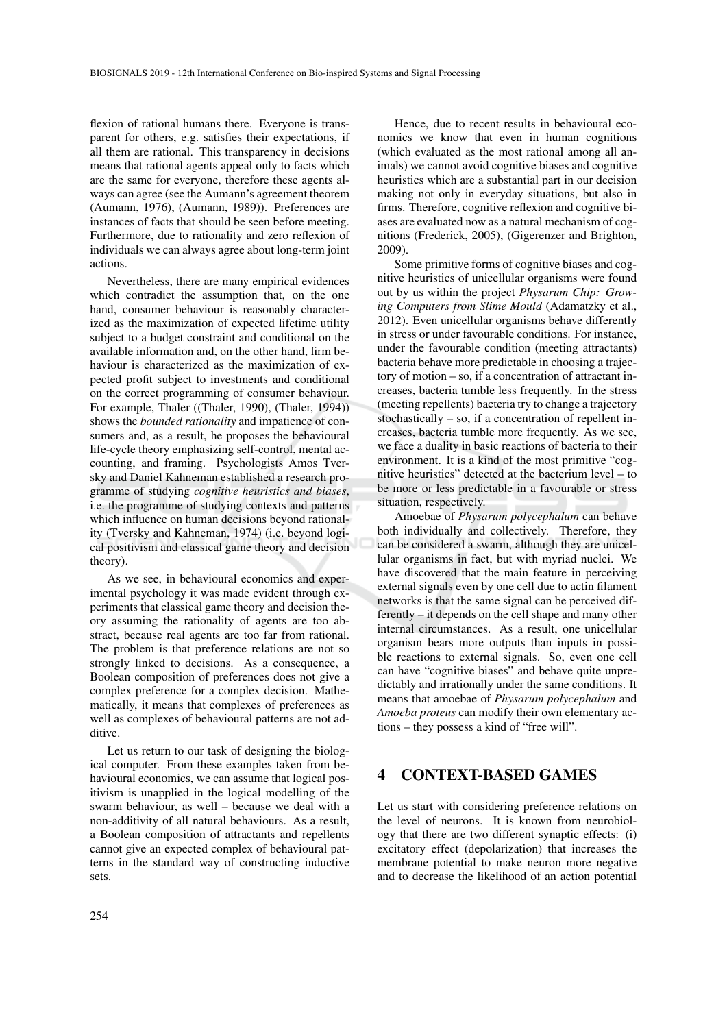flexion of rational humans there. Everyone is transparent for others, e.g. satisfies their expectations, if all them are rational. This transparency in decisions means that rational agents appeal only to facts which are the same for everyone, therefore these agents always can agree (see the Aumann's agreement theorem (Aumann, 1976), (Aumann, 1989)). Preferences are instances of facts that should be seen before meeting. Furthermore, due to rationality and zero reflexion of individuals we can always agree about long-term joint actions.

Nevertheless, there are many empirical evidences which contradict the assumption that, on the one hand, consumer behaviour is reasonably characterized as the maximization of expected lifetime utility subject to a budget constraint and conditional on the available information and, on the other hand, firm behaviour is characterized as the maximization of expected profit subject to investments and conditional on the correct programming of consumer behaviour. For example, Thaler ((Thaler, 1990), (Thaler, 1994)) shows the *bounded rationality* and impatience of consumers and, as a result, he proposes the behavioural life-cycle theory emphasizing self-control, mental accounting, and framing. Psychologists Amos Tversky and Daniel Kahneman established a research programme of studying *cognitive heuristics and biases*, i.e. the programme of studying contexts and patterns which influence on human decisions beyond rationality (Tversky and Kahneman, 1974) (i.e. beyond logical positivism and classical game theory and decision theory).

As we see, in behavioural economics and experimental psychology it was made evident through experiments that classical game theory and decision theory assuming the rationality of agents are too abstract, because real agents are too far from rational. The problem is that preference relations are not so strongly linked to decisions. As a consequence, a Boolean composition of preferences does not give a complex preference for a complex decision. Mathematically, it means that complexes of preferences as well as complexes of behavioural patterns are not additive.

Let us return to our task of designing the biological computer. From these examples taken from behavioural economics, we can assume that logical positivism is unapplied in the logical modelling of the swarm behaviour, as well – because we deal with a non-additivity of all natural behaviours. As a result, a Boolean composition of attractants and repellents cannot give an expected complex of behavioural patterns in the standard way of constructing inductive sets.

Hence, due to recent results in behavioural economics we know that even in human cognitions (which evaluated as the most rational among all animals) we cannot avoid cognitive biases and cognitive heuristics which are a substantial part in our decision making not only in everyday situations, but also in firms. Therefore, cognitive reflexion and cognitive biases are evaluated now as a natural mechanism of cognitions (Frederick, 2005), (Gigerenzer and Brighton, 2009).

Some primitive forms of cognitive biases and cognitive heuristics of unicellular organisms were found out by us within the project *Physarum Chip: Growing Computers from Slime Mould* (Adamatzky et al., 2012). Even unicellular organisms behave differently in stress or under favourable conditions. For instance, under the favourable condition (meeting attractants) bacteria behave more predictable in choosing a trajectory of motion – so, if a concentration of attractant increases, bacteria tumble less frequently. In the stress (meeting repellents) bacteria try to change a trajectory stochastically – so, if a concentration of repellent increases, bacteria tumble more frequently. As we see, we face a duality in basic reactions of bacteria to their environment. It is a kind of the most primitive "cognitive heuristics" detected at the bacterium level – to be more or less predictable in a favourable or stress situation, respectively.

Amoebae of *Physarum polycephalum* can behave both individually and collectively. Therefore, they can be considered a swarm, although they are unicellular organisms in fact, but with myriad nuclei. We have discovered that the main feature in perceiving external signals even by one cell due to actin filament networks is that the same signal can be perceived differently – it depends on the cell shape and many other internal circumstances. As a result, one unicellular organism bears more outputs than inputs in possible reactions to external signals. So, even one cell can have "cognitive biases" and behave quite unpredictably and irrationally under the same conditions. It means that amoebae of *Physarum polycephalum* and *Amoeba proteus* can modify their own elementary actions – they possess a kind of "free will".

#### 4 CONTEXT-BASED GAMES

Let us start with considering preference relations on the level of neurons. It is known from neurobiology that there are two different synaptic effects: (i) excitatory effect (depolarization) that increases the membrane potential to make neuron more negative and to decrease the likelihood of an action potential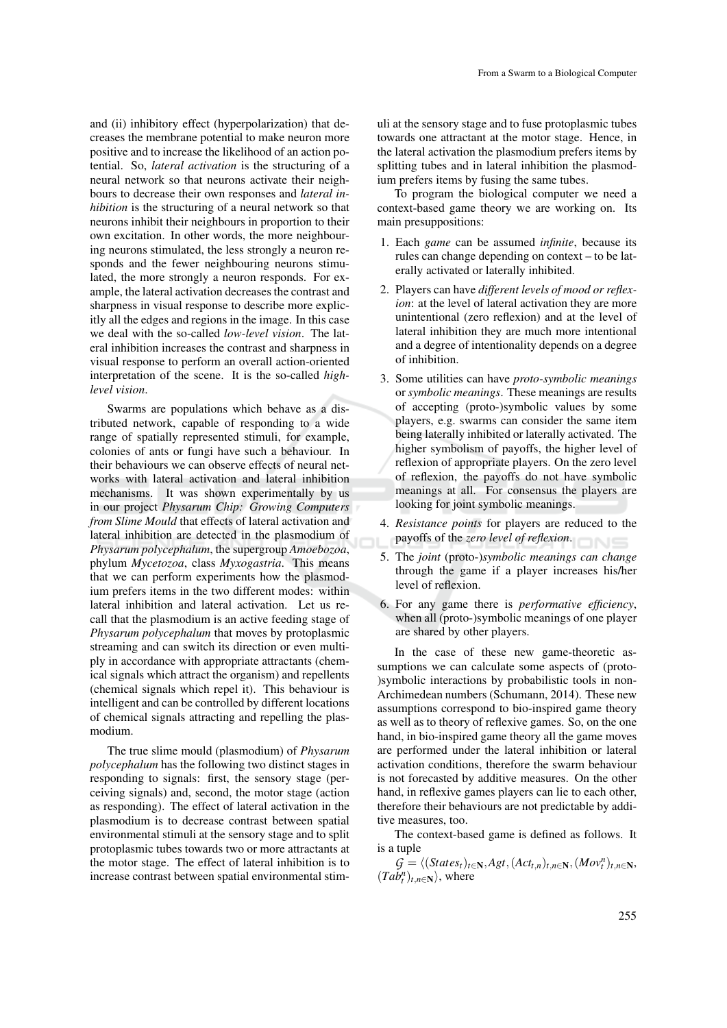and (ii) inhibitory effect (hyperpolarization) that decreases the membrane potential to make neuron more positive and to increase the likelihood of an action potential. So, *lateral activation* is the structuring of a neural network so that neurons activate their neighbours to decrease their own responses and *lateral inhibition* is the structuring of a neural network so that neurons inhibit their neighbours in proportion to their own excitation. In other words, the more neighbouring neurons stimulated, the less strongly a neuron responds and the fewer neighbouring neurons stimulated, the more strongly a neuron responds. For example, the lateral activation decreases the contrast and sharpness in visual response to describe more explicitly all the edges and regions in the image. In this case we deal with the so-called *low-level vision*. The lateral inhibition increases the contrast and sharpness in visual response to perform an overall action-oriented interpretation of the scene. It is the so-called *highlevel vision*.

Swarms are populations which behave as a distributed network, capable of responding to a wide range of spatially represented stimuli, for example, colonies of ants or fungi have such a behaviour. In their behaviours we can observe effects of neural networks with lateral activation and lateral inhibition mechanisms. It was shown experimentally by us in our project *Physarum Chip: Growing Computers from Slime Mould* that effects of lateral activation and lateral inhibition are detected in the plasmodium of *Physarum polycephalum*, the supergroup *Amoebozoa*, phylum *Mycetozoa*, class *Myxogastria*. This means that we can perform experiments how the plasmodium prefers items in the two different modes: within lateral inhibition and lateral activation. Let us recall that the plasmodium is an active feeding stage of *Physarum polycephalum* that moves by protoplasmic streaming and can switch its direction or even multiply in accordance with appropriate attractants (chemical signals which attract the organism) and repellents (chemical signals which repel it). This behaviour is intelligent and can be controlled by different locations of chemical signals attracting and repelling the plasmodium.

The true slime mould (plasmodium) of *Physarum polycephalum* has the following two distinct stages in responding to signals: first, the sensory stage (perceiving signals) and, second, the motor stage (action as responding). The effect of lateral activation in the plasmodium is to decrease contrast between spatial environmental stimuli at the sensory stage and to split protoplasmic tubes towards two or more attractants at the motor stage. The effect of lateral inhibition is to increase contrast between spatial environmental stimuli at the sensory stage and to fuse protoplasmic tubes towards one attractant at the motor stage. Hence, in the lateral activation the plasmodium prefers items by splitting tubes and in lateral inhibition the plasmodium prefers items by fusing the same tubes.

To program the biological computer we need a context-based game theory we are working on. Its main presuppositions:

- 1. Each *game* can be assumed *infinite*, because its rules can change depending on context – to be laterally activated or laterally inhibited.
- 2. Players can have *different levels of mood or reflexion*: at the level of lateral activation they are more unintentional (zero reflexion) and at the level of lateral inhibition they are much more intentional and a degree of intentionality depends on a degree of inhibition.
- 3. Some utilities can have *proto-symbolic meanings* or *symbolic meanings*. These meanings are results of accepting (proto-)symbolic values by some players, e.g. swarms can consider the same item being laterally inhibited or laterally activated. The higher symbolism of payoffs, the higher level of reflexion of appropriate players. On the zero level of reflexion, the payoffs do not have symbolic meanings at all. For consensus the players are looking for joint symbolic meanings.
- 4. *Resistance points* for players are reduced to the payoffs of the *zero level of reflexion*.
- 5. The *joint* (proto-)*symbolic meanings can change* through the game if a player increases his/her level of reflexion.
- 6. For any game there is *performative efficiency*, when all (proto-)symbolic meanings of one player are shared by other players.

In the case of these new game-theoretic assumptions we can calculate some aspects of (proto- )symbolic interactions by probabilistic tools in non-Archimedean numbers (Schumann, 2014). These new assumptions correspond to bio-inspired game theory as well as to theory of reflexive games. So, on the one hand, in bio-inspired game theory all the game moves are performed under the lateral inhibition or lateral activation conditions, therefore the swarm behaviour is not forecasted by additive measures. On the other hand, in reflexive games players can lie to each other, therefore their behaviours are not predictable by additive measures, too.

The context-based game is defined as follows. It is a tuple

 $G = \langle (States_t)_{t \in \mathbb{N}}, Ast, (Act_{t,n})_{t,n \in \mathbb{N}}, (Mov_t^n)_{t,n \in \mathbb{N}},$  $(Tab_t^n)_{t,n \in \mathbb{N}}$ , where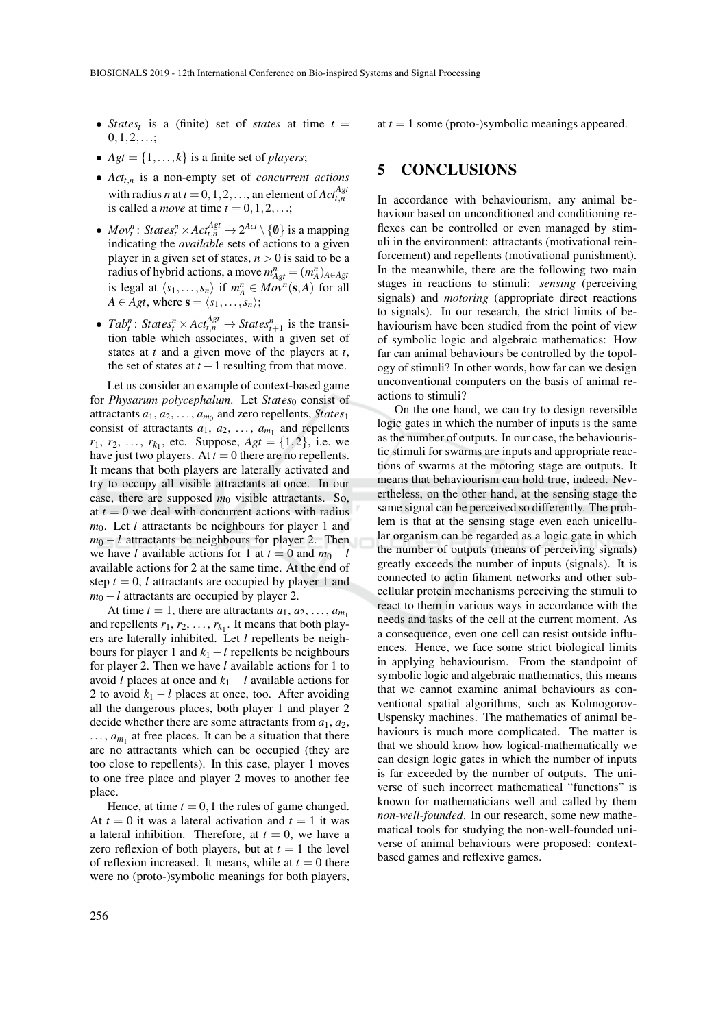• *States<sub>t</sub>* is a (finite) set of *states* at time  $t =$  $0, 1, 2, \ldots;$ 

at  $t = 1$  some (proto-)symbolic meanings appeared.

- $Agt = \{1, ..., k\}$  is a finite set of *players*;
- *Actt*,*<sup>n</sup>* is a non-empty set of *concurrent actions* with radius *n* at  $t = 0, 1, 2, \ldots$ , an element of  $Act_{t,n}^{Agt}$ is called a *move* at time  $t = 0, 1, 2, \ldots;$
- $Mov_t^n$ : *Statest*<sup>*n*</sup>  $\times Act_{t,n}^{Agt} \rightarrow 2^{Act} \setminus \{0\}$  is a mapping indicating the *available* sets of actions to a given player in a given set of states,  $n > 0$  is said to be a radius of hybrid actions, a move  $m_{Agt}^n = (m_A^n)_{A \in Agt}$ is legal at  $\langle s_1, \ldots, s_n \rangle$  if  $m_A^n \in Mov^n(\mathbf{s}, A)$  for all  $A \in Agt$ , where  $\mathbf{s} = \langle s_1, \ldots, s_n \rangle;$
- *Tab<sub>l</sub>*</sub>: *States*<sup>*n*</sup><sub>*t*</sub> × *Act*<sub>*t*,*n*</sub>  $\rightarrow$  *States*<sup>*n*</sup><sub>*t*+1</sub> is the transition table which associates, with a given set of states at *t* and a given move of the players at *t*, the set of states at  $t + 1$  resulting from that move.

Let us consider an example of context-based game for *Physarum polycephalum*. Let *States*<sup>0</sup> consist of attractants  $a_1, a_2, \ldots, a_{m_0}$  and zero repellents, *States*<sup>1</sup> consist of attractants  $a_1, a_2, \ldots, a_{m_1}$  and repellents  $r_1, r_2, \ldots, r_{k_1}$ , etc. Suppose,  $Agt = \{1, 2\}$ , i.e. we have just two players. At  $t = 0$  there are no repellents. It means that both players are laterally activated and try to occupy all visible attractants at once. In our case, there are supposed  $m_0$  visible attractants. So, at  $t = 0$  we deal with concurrent actions with radius *m*0. Let *l* attractants be neighbours for player 1 and  $m_0 - l$  attractants be neighbours for player 2. Then we have *l* available actions for 1 at  $t = 0$  and  $m_0 - l$ available actions for 2 at the same time. At the end of step  $t = 0$ , *l* attractants are occupied by player 1 and  $m_0 - l$  attractants are occupied by player 2.

At time  $t = 1$ , there are attractants  $a_1, a_2, \ldots, a_{m_1}$ and repellents  $r_1, r_2, \ldots, r_{k_1}$ . It means that both players are laterally inhibited. Let *l* repellents be neighbours for player 1 and  $k_1 - l$  repellents be neighbours for player 2. Then we have *l* available actions for 1 to avoid *l* places at once and *k*<sup>1</sup> −*l* available actions for 2 to avoid  $k_1 - l$  places at once, too. After avoiding all the dangerous places, both player 1 and player 2 decide whether there are some attractants from *a*1, *a*2,  $..., a_{m_1}$  at free places. It can be a situation that there are no attractants which can be occupied (they are too close to repellents). In this case, player 1 moves to one free place and player 2 moves to another fee place.

Hence, at time  $t = 0, 1$  the rules of game changed. At  $t = 0$  it was a lateral activation and  $t = 1$  it was a lateral inhibition. Therefore, at  $t = 0$ , we have a zero reflexion of both players, but at  $t = 1$  the level of reflexion increased. It means, while at  $t = 0$  there were no (proto-)symbolic meanings for both players,

### 5 CONCLUSIONS

In accordance with behaviourism, any animal behaviour based on unconditioned and conditioning reflexes can be controlled or even managed by stimuli in the environment: attractants (motivational reinforcement) and repellents (motivational punishment). In the meanwhile, there are the following two main stages in reactions to stimuli: *sensing* (perceiving signals) and *motoring* (appropriate direct reactions to signals). In our research, the strict limits of behaviourism have been studied from the point of view of symbolic logic and algebraic mathematics: How far can animal behaviours be controlled by the topology of stimuli? In other words, how far can we design unconventional computers on the basis of animal reactions to stimuli?

On the one hand, we can try to design reversible logic gates in which the number of inputs is the same as the number of outputs. In our case, the behaviouristic stimuli for swarms are inputs and appropriate reactions of swarms at the motoring stage are outputs. It means that behaviourism can hold true, indeed. Nevertheless, on the other hand, at the sensing stage the same signal can be perceived so differently. The problem is that at the sensing stage even each unicellular organism can be regarded as a logic gate in which the number of outputs (means of perceiving signals) greatly exceeds the number of inputs (signals). It is connected to actin filament networks and other subcellular protein mechanisms perceiving the stimuli to react to them in various ways in accordance with the needs and tasks of the cell at the current moment. As a consequence, even one cell can resist outside influences. Hence, we face some strict biological limits in applying behaviourism. From the standpoint of symbolic logic and algebraic mathematics, this means that we cannot examine animal behaviours as conventional spatial algorithms, such as Kolmogorov-Uspensky machines. The mathematics of animal behaviours is much more complicated. The matter is that we should know how logical-mathematically we can design logic gates in which the number of inputs is far exceeded by the number of outputs. The universe of such incorrect mathematical "functions" is known for mathematicians well and called by them *non-well-founded*. In our research, some new mathematical tools for studying the non-well-founded universe of animal behaviours were proposed: contextbased games and reflexive games.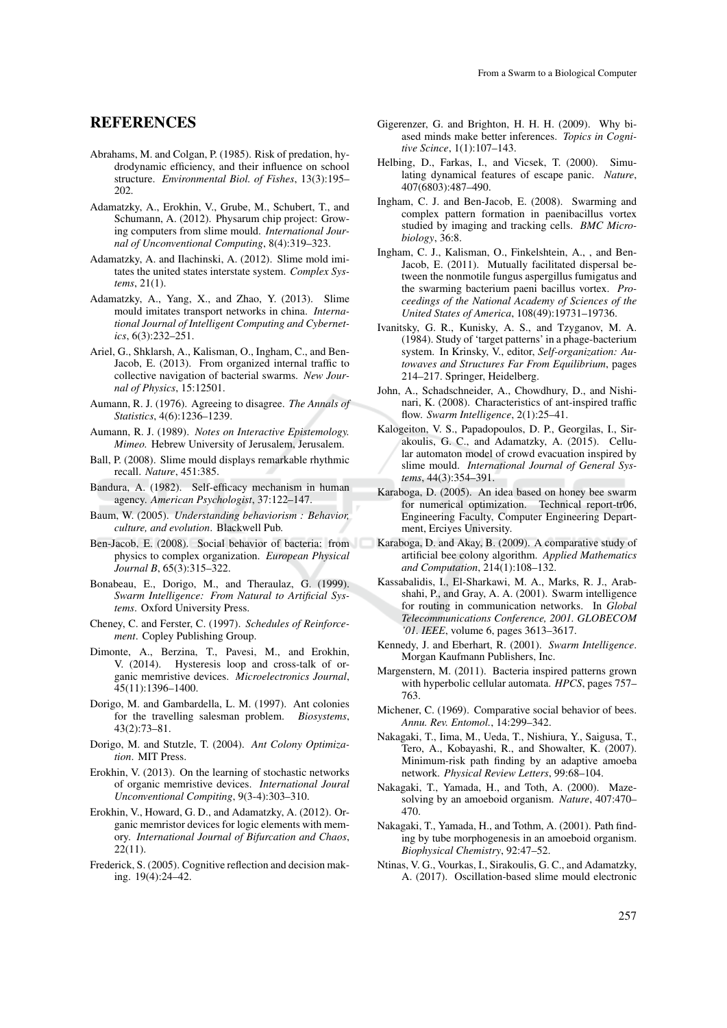#### REFERENCES

- Abrahams, M. and Colgan, P. (1985). Risk of predation, hydrodynamic efficiency, and their influence on school structure. *Environmental Biol. of Fishes*, 13(3):195– 202.
- Adamatzky, A., Erokhin, V., Grube, M., Schubert, T., and Schumann, A. (2012). Physarum chip project: Growing computers from slime mould. *International Journal of Unconventional Computing*, 8(4):319–323.
- Adamatzky, A. and Ilachinski, A. (2012). Slime mold imitates the united states interstate system. *Complex Systems*, 21(1).
- Adamatzky, A., Yang, X., and Zhao, Y. (2013). Slime mould imitates transport networks in china. *International Journal of Intelligent Computing and Cybernetics*, 6(3):232–251.
- Ariel, G., Shklarsh, A., Kalisman, O., Ingham, C., and Ben-Jacob, E. (2013). From organized internal traffic to collective navigation of bacterial swarms. *New Journal of Physics*, 15:12501.
- Aumann, R. J. (1976). Agreeing to disagree. *The Annals of Statistics*, 4(6):1236–1239.
- Aumann, R. J. (1989). *Notes on Interactive Epistemology. Mimeo.* Hebrew University of Jerusalem, Jerusalem.
- Ball, P. (2008). Slime mould displays remarkable rhythmic recall. *Nature*, 451:385.
- Bandura, A. (1982). Self-efficacy mechanism in human agency. *American Psychologist*, 37:122–147.
- Baum, W. (2005). *Understanding behaviorism : Behavior, culture, and evolution*. Blackwell Pub.
- Ben-Jacob, E. (2008). Social behavior of bacteria: from physics to complex organization. *European Physical Journal B*, 65(3):315–322.
- Bonabeau, E., Dorigo, M., and Theraulaz, G. (1999). *Swarm Intelligence: From Natural to Artificial Systems*. Oxford University Press.
- Cheney, C. and Ferster, C. (1997). *Schedules of Reinforcement*. Copley Publishing Group.
- Dimonte, A., Berzina, T., Pavesi, M., and Erokhin, V. (2014). Hysteresis loop and cross-talk of organic memristive devices. *Microelectronics Journal*, 45(11):1396–1400.
- Dorigo, M. and Gambardella, L. M. (1997). Ant colonies for the travelling salesman problem. *Biosystems*, 43(2):73–81.
- Dorigo, M. and Stutzle, T. (2004). *Ant Colony Optimization*. MIT Press.
- Erokhin, V. (2013). On the learning of stochastic networks of organic memristive devices. *International Joural Unconventional Compiting*, 9(3-4):303–310.
- Erokhin, V., Howard, G. D., and Adamatzky, A. (2012). Organic memristor devices for logic elements with memory. *International Journal of Bifurcation and Chaos*,  $22(11)$ .
- Frederick, S. (2005). Cognitive reflection and decision making. 19(4):24–42.
- Gigerenzer, G. and Brighton, H. H. H. (2009). Why biased minds make better inferences. *Topics in Cognitive Scince*, 1(1):107–143.
- Helbing, D., Farkas, I., and Vicsek, T. (2000). Simulating dynamical features of escape panic. *Nature*, 407(6803):487–490.
- Ingham, C. J. and Ben-Jacob, E. (2008). Swarming and complex pattern formation in paenibacillus vortex studied by imaging and tracking cells. *BMC Microbiology*, 36:8.
- Ingham, C. J., Kalisman, O., Finkelshtein, A., , and Ben-Jacob, E. (2011). Mutually facilitated dispersal between the nonmotile fungus aspergillus fumigatus and the swarming bacterium paeni bacillus vortex. *Proceedings of the National Academy of Sciences of the United States of America*, 108(49):19731–19736.
- Ivanitsky, G. R., Kunisky, A. S., and Tzyganov, M. A. (1984). Study of 'target patterns' in a phage-bacterium system. In Krinsky, V., editor, *Self-organization: Autowaves and Structures Far From Equilibrium*, pages 214–217. Springer, Heidelberg.
- John, A., Schadschneider, A., Chowdhury, D., and Nishinari, K. (2008). Characteristics of ant-inspired traffic flow. *Swarm Intelligence*, 2(1):25–41.
- Kalogeiton, V. S., Papadopoulos, D. P., Georgilas, I., Sirakoulis, G. C., and Adamatzky, A. (2015). Cellular automaton model of crowd evacuation inspired by slime mould. *International Journal of General Systems*, 44(3):354–391.
- Karaboga, D. (2005). An idea based on honey bee swarm for numerical optimization. Technical report-tr06, Engineering Faculty, Computer Engineering Department, Erciyes University.
- Karaboga, D. and Akay, B. (2009). A comparative study of artificial bee colony algorithm. *Applied Mathematics and Computation*, 214(1):108–132.
- Kassabalidis, I., El-Sharkawi, M. A., Marks, R. J., Arabshahi, P., and Gray, A. A. (2001). Swarm intelligence for routing in communication networks. In *Global Telecommunications Conference, 2001. GLOBECOM '01. IEEE*, volume 6, pages 3613–3617.
- Kennedy, J. and Eberhart, R. (2001). *Swarm Intelligence*. Morgan Kaufmann Publishers, Inc.
- Margenstern, M. (2011). Bacteria inspired patterns grown with hyperbolic cellular automata. *HPCS*, pages 757– 763.
- Michener, C. (1969). Comparative social behavior of bees. *Annu. Rev. Entomol.*, 14:299–342.
- Nakagaki, T., Iima, M., Ueda, T., Nishiura, Y., Saigusa, T., Tero, A., Kobayashi, R., and Showalter, K. (2007). Minimum-risk path finding by an adaptive amoeba network. *Physical Review Letters*, 99:68–104.
- Nakagaki, T., Yamada, H., and Toth, A. (2000). Mazesolving by an amoeboid organism. *Nature*, 407:470– 470.
- Nakagaki, T., Yamada, H., and Tothm, A. (2001). Path finding by tube morphogenesis in an amoeboid organism. *Biophysical Chemistry*, 92:47–52.
- Ntinas, V. G., Vourkas, I., Sirakoulis, G. C., and Adamatzky, A. (2017). Oscillation-based slime mould electronic